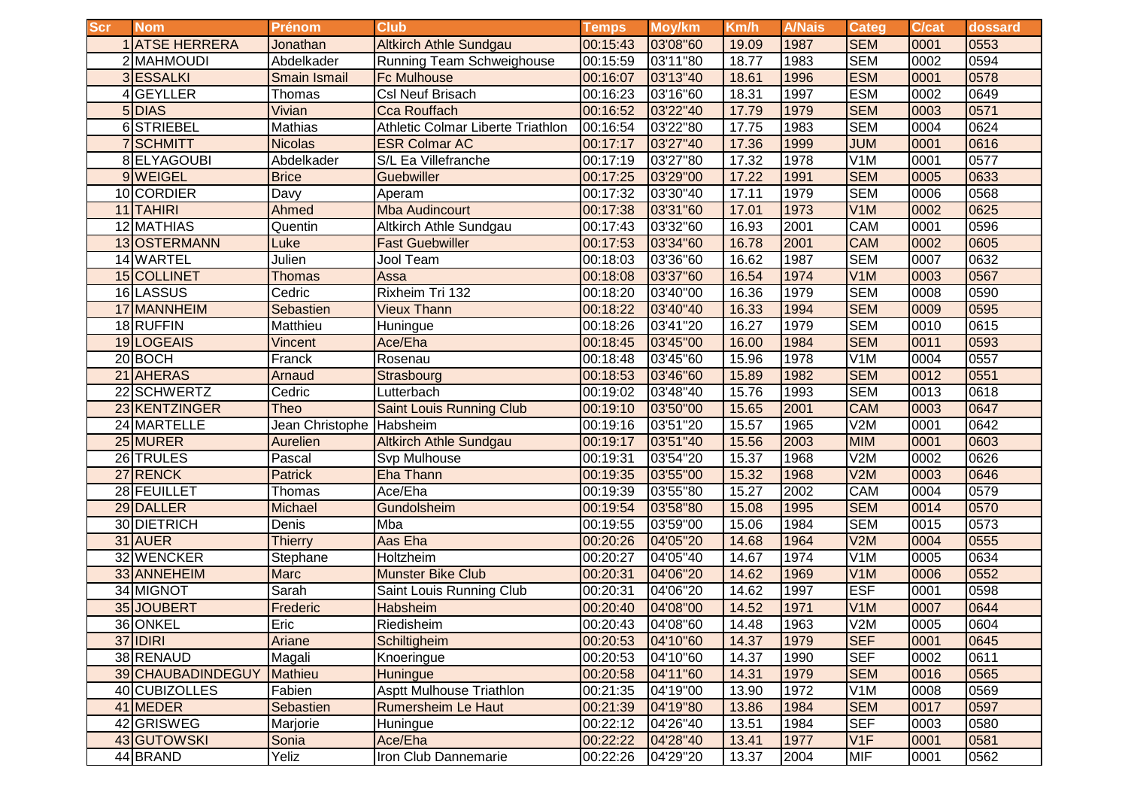| <b>Scr</b> | <b>Nom</b>            | <b>Prénom</b>       | <b>Club</b>                       | <b>Temps</b> | Moy/km   | Km/h  | <b>A/Nais</b> | Categ            | <b>C/cat</b> | dossard |
|------------|-----------------------|---------------------|-----------------------------------|--------------|----------|-------|---------------|------------------|--------------|---------|
|            | <b>1 ATSE HERRERA</b> | Jonathan            | <b>Altkirch Athle Sundgau</b>     | 00:15:43     | 03'08"60 | 19.09 | 1987          | <b>SEM</b>       | 0001         | 0553    |
|            | 2 MAHMOUDI            | Abdelkader          | <b>Running Team Schweighouse</b>  | 00:15:59     | 03'11"80 | 18.77 | 1983          | <b>SEM</b>       | 0002         | 0594    |
|            | 3 ESSALKI             | <b>Smain Ismail</b> | <b>Fc Mulhouse</b>                | 00:16:07     | 03'13"40 | 18.61 | 1996          | <b>ESM</b>       | 0001         | 0578    |
|            | GEYLLER               | Thomas              | <b>Csl Neuf Brisach</b>           | 00:16:23     | 03'16"60 | 18.31 | 1997          | <b>ESM</b>       | 0002         | 0649    |
|            | 5 DIAS                | Vivian              | <b>Cca Rouffach</b>               | 00:16:52     | 03'22"40 | 17.79 | 1979          | <b>SEM</b>       | 0003         | 0571    |
|            | 6STRIEBEL             | Mathias             | Athletic Colmar Liberte Triathlon | 00:16:54     | 03'22"80 | 17.75 | 1983          | <b>SEM</b>       | 0004         | 0624    |
|            | <b>SCHMITT</b>        | <b>Nicolas</b>      | <b>ESR Colmar AC</b>              | 00:17:17     | 03'27"40 | 17.36 | 1999          | <b>JUM</b>       | 0001         | 0616    |
|            | 8 ELYAGOUBI           | Abdelkader          | S/L Ea Villefranche               | 00:17:19     | 03'27"80 | 17.32 | 1978          | V1M              | 0001         | 0577    |
|            | 9 WEIGEL              | <b>Brice</b>        | Guebwiller                        | 00:17:25     | 03'29"00 | 17.22 | 1991          | <b>SEM</b>       | 0005         | 0633    |
|            | 10 CORDIER            | Davy                | Aperam                            | 00:17:32     | 03'30"40 | 17.11 | 1979          | <b>SEM</b>       | 0006         | 0568    |
|            | 11 TAHIRI             | Ahmed               | <b>Mba Audincourt</b>             | 00:17:38     | 03'31"60 | 17.01 | 1973          | V1M              | 0002         | 0625    |
|            | 12 MATHIAS            | Quentin             | Altkirch Athle Sundgau            | 00:17:43     | 03'32"60 | 16.93 | 2001          | CAM              | 0001         | 0596    |
|            | 13 OSTERMANN          | Luke                | <b>Fast Guebwiller</b>            | 00:17:53     | 03'34"60 | 16.78 | 2001          | <b>CAM</b>       | 0002         | 0605    |
|            | 14 WARTEL             | Julien              | Jool Team                         | 00:18:03     | 03'36"60 | 16.62 | 1987          | <b>SEM</b>       | 0007         | 0632    |
|            | 15 COLLINET           | <b>Thomas</b>       | Assa                              | 00:18:08     | 03'37"60 | 16.54 | 1974          | V <sub>1</sub> M | 0003         | 0567    |
|            | 16 LASSUS             | Cedric              | Rixheim Tri 132                   | 00:18:20     | 03'40"00 | 16.36 | 1979          | <b>SEM</b>       | 0008         | 0590    |
|            | 17 MANNHEIM           | Sebastien           | <b>Vieux Thann</b>                | 00:18:22     | 03'40"40 | 16.33 | 1994          | <b>SEM</b>       | 0009         | 0595    |
|            | 18 RUFFIN             | Matthieu            | Huningue                          | 00:18:26     | 03'41"20 | 16.27 | 1979          | <b>SEM</b>       | 0010         | 0615    |
|            | 19 LOGEAIS            | Vincent             | Ace/Eha                           | 00:18:45     | 03'45"00 | 16.00 | 1984          | <b>SEM</b>       | 0011         | 0593    |
|            | 20BOCH                | Franck              | Rosenau                           | 00:18:48     | 03'45"60 | 15.96 | 1978          | V <sub>1</sub> M | 0004         | 0557    |
|            | 21 AHERAS             | Arnaud              | Strasbourg                        | 00:18:53     | 03'46"60 | 15.89 | 1982          | <b>SEM</b>       | 0012         | 0551    |
| 22         | <b>SCHWERTZ</b>       | Cedric              | Lutterbach                        | 00:19:02     | 03'48"40 | 15.76 | 1993          | <b>SEM</b>       | 0013         | 0618    |
|            | 23 KENTZINGER         | Theo                | <b>Saint Louis Running Club</b>   | 00:19:10     | 03'50"00 | 15.65 | 2001          | <b>CAM</b>       | 0003         | 0647    |
|            | 24 MARTELLE           | Jean Christophe     | Habsheim                          | 00:19:16     | 03'51"20 | 15.57 | 1965          | V2M              | 0001         | 0642    |
|            | 25 MURER              | <b>Aurelien</b>     | <b>Altkirch Athle Sundgau</b>     | 00:19:17     | 03'51"40 | 15.56 | 2003          | <b>MIM</b>       | 0001         | 0603    |
|            | 26 TRULES             | Pascal              | Svp Mulhouse                      | 00:19:31     | 03'54"20 | 15.37 | 1968          | V2M              | 0002         | 0626    |
|            | 27 RENCK              | <b>Patrick</b>      | Eha Thann                         | 00:19:35     | 03'55"00 | 15.32 | 1968          | V2M              | 0003         | 0646    |
|            | 28 FEUILLET           | Thomas              | Ace/Eha                           | 00:19:39     | 03'55"80 | 15.27 | 2002          | CAM              | 0004         | 0579    |
|            | 29 DALLER             | Michael             | Gundolsheim                       | 00:19:54     | 03'58"80 | 15.08 | 1995          | <b>SEM</b>       | 0014         | 0570    |
|            | 30 DIETRICH           | Denis               | Mba                               | 00:19:55     | 03'59"00 | 15.06 | 1984          | <b>SEM</b>       | 0015         | 0573    |
|            | 31 AUER               | <b>Thierry</b>      | Aas Eha                           | 00:20:26     | 04'05"20 | 14.68 | 1964          | V2M              | 0004         | 0555    |
|            | 32 WENCKER            | Stephane            | Holtzheim                         | 00:20:27     | 04'05"40 | 14.67 | 1974          | V <sub>1</sub> M | 0005         | 0634    |
|            | 33 ANNEHEIM           | <b>Marc</b>         | <b>Munster Bike Club</b>          | 00:20:31     | 04'06"20 | 14.62 | 1969          | V1M              | 0006         | 0552    |
|            | 34 MIGNOT             | Sarah               | Saint Louis Running Club          | 00:20:31     | 04'06"20 | 14.62 | 1997          | <b>ESF</b>       | 0001         | 0598    |
|            | 35 JOUBERT            | Frederic            | Habsheim                          | 00:20:40     | 04'08"00 | 14.52 | 1971          | V <sub>1</sub> M | 0007         | 0644    |
|            | 36 ONKEL              | <b>Eric</b>         | Riedisheim                        | 00:20:43     | 04'08"60 | 14.48 | 1963          | V2M              | 0005         | 0604    |
|            | 37 IDIRI              | Ariane              | Schiltigheim                      | 00:20:53     | 04'10"60 | 14.37 | 1979          | <b>SEF</b>       | 0001         | 0645    |
|            | 38 RENAUD             | Magali              | Knoeringue                        | 00:20:53     | 04'10"60 | 14.37 | 1990          | <b>SEF</b>       | 0002         | 0611    |
|            | 39 CHAUBADINDEGUY     | Mathieu             | <b>Huningue</b>                   | 00:20:58     | 04'11"60 | 14.31 | 1979          | <b>SEM</b>       | 0016         | 0565    |
|            | 40 CUBIZOLLES         | Fabien              | <b>Asptt Mulhouse Triathlon</b>   | 00:21:35     | 04'19"00 | 13.90 | 1972          | V <sub>1</sub> M | 0008         | 0569    |
|            | 41 MEDER              | Sebastien           | <b>Rumersheim Le Haut</b>         | 00:21:39     | 04'19"80 | 13.86 | 1984          | <b>SEM</b>       | 0017         | 0597    |
|            | 42 GRISWEG            | Marjorie            | Huningue                          | 00:22:12     | 04'26"40 | 13.51 | 1984          | <b>SEF</b>       | 0003         | 0580    |
|            | 43 GUTOWSKI           | Sonia               | Ace/Eha                           | 00:22:22     | 04'28"40 | 13.41 | 1977          | V1F              | 0001         | 0581    |
|            | 44 BRAND              | Yeliz               | Iron Club Dannemarie              | 00:22:26     | 04'29"20 | 13.37 | 2004          | <b>MIF</b>       | 0001         | 0562    |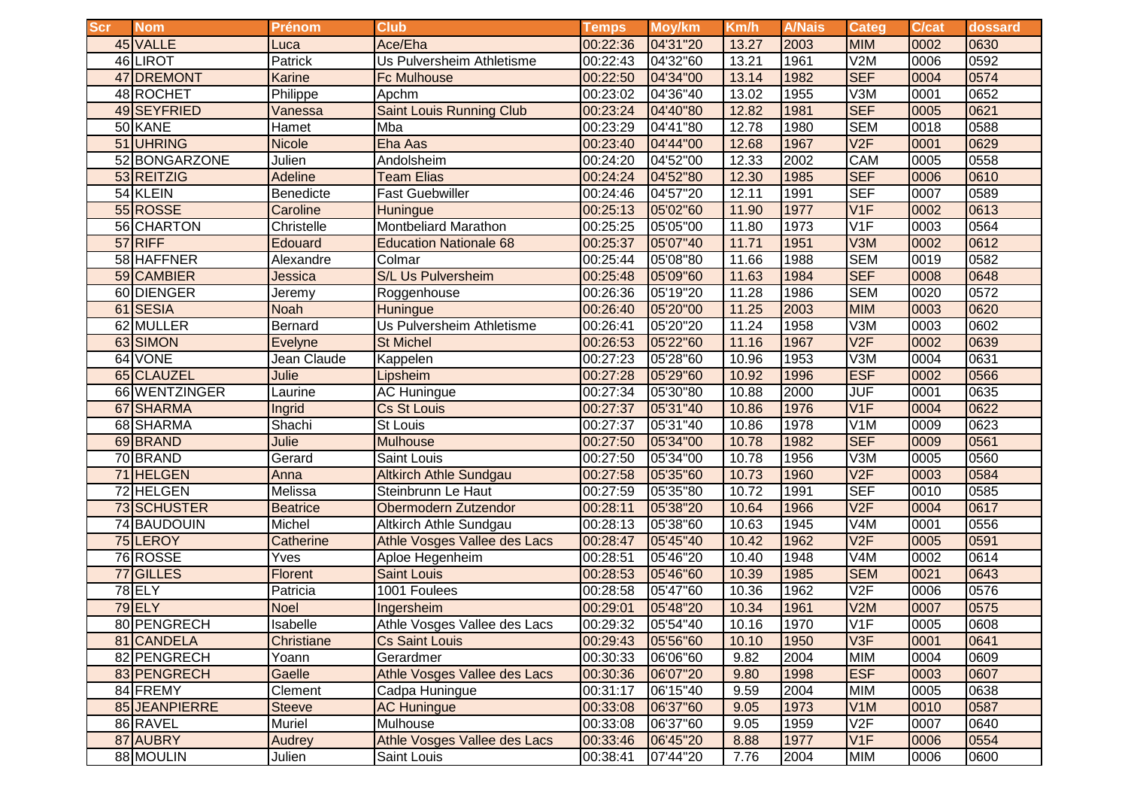| <b>Scr</b> | <b>Nom</b>    | <b>Prénom</b>   | <b>Club</b>                     | <b>Temps</b>      | Moy/km   | Km/h  | <b>A/Nais</b> | Categ            | <b>C/cat</b> | dossard |
|------------|---------------|-----------------|---------------------------------|-------------------|----------|-------|---------------|------------------|--------------|---------|
|            | 45 VALLE      | Luca            | Ace/Eha                         | 00:22:36          | 04'31"20 | 13.27 | 2003          | <b>MIM</b>       | 0002         | 0630    |
|            | 46 LIROT      | Patrick         | Us Pulversheim Athletisme       | 00:22:43          | 04'32"60 | 13.21 | 1961          | V2M              | 0006         | 0592    |
|            | 47 DREMONT    | <b>Karine</b>   | <b>Fc Mulhouse</b>              | 00:22:50          | 04'34"00 | 13.14 | 1982          | <b>SEF</b>       | 0004         | 0574    |
|            | 48 ROCHET     | Philippe        | Apchm                           | 00:23:02          | 04'36"40 | 13.02 | 1955          | V3M              | 0001         | 0652    |
|            | 49 SEYFRIED   | Vanessa         | <b>Saint Louis Running Club</b> | 00:23:24          | 04'40"80 | 12.82 | 1981          | <b>SEF</b>       | 0005         | 0621    |
|            | 50 KANE       | Hamet           | Mba                             | 00:23:29          | 04'41"80 | 12.78 | 1980          | <b>SEM</b>       | 0018         | 0588    |
| 51         | <b>UHRING</b> | <b>Nicole</b>   | Eha Aas                         | 00:23:40          | 04'44"00 | 12.68 | 1967          | V2F              | 0001         | 0629    |
|            | 52 BONGARZONE | Julien          | Andolsheim                      | 00:24:20          | 04'52"00 | 12.33 | 2002          | CAM              | 0005         | 0558    |
|            | 53 REITZIG    | <b>Adeline</b>  | <b>Team Elias</b>               | 00:24:24          | 04'52"80 | 12.30 | 1985          | <b>SEF</b>       | 0006         | 0610    |
|            | 54 KLEIN      | Benedicte       | <b>Fast Guebwiller</b>          | 00:24:46          | 04'57"20 | 12.11 | 1991          | <b>SEF</b>       | 0007         | 0589    |
|            | 55 ROSSE      | Caroline        | <b>Huningue</b>                 | 00:25:13          | 05'02"60 | 11.90 | 1977          | V1F              | 0002         | 0613    |
|            | 56 CHARTON    | Christelle      | <b>Montbeliard Marathon</b>     | 00:25:25          | 05'05"00 | 11.80 | 1973          | V <sub>1F</sub>  | 0003         | 0564    |
|            | 57 RIFF       | Edouard         | <b>Education Nationale 68</b>   | 00:25:37          | 05'07"40 | 11.71 | 1951          | V3M              | 0002         | 0612    |
|            | 58 HAFFNER    | Alexandre       | Colmar                          | 00:25:44          | 05'08"80 | 11.66 | 1988          | <b>SEM</b>       | 0019         | 0582    |
|            | 59 CAMBIER    | Jessica         | S/L Us Pulversheim              | 00:25:48          | 05'09"60 | 11.63 | 1984          | <b>SEF</b>       | 0008         | 0648    |
|            | 60 DIENGER    | Jeremy          | Roggenhouse                     | 00:26:36          | 05'19"20 | 11.28 | 1986          | <b>SEM</b>       | 0020         | 0572    |
|            | 61 SESIA      | <b>Noah</b>     | Huningue                        | 00:26:40          | 05'20"00 | 11.25 | 2003          | <b>MIM</b>       | 0003         | 0620    |
|            | 62 MULLER     | <b>Bernard</b>  | Us Pulversheim Athletisme       | 00:26:41          | 05'20"20 | 11.24 | 1958          | V3M              | 0003         | 0602    |
|            | 63 SIMON      | <b>Evelyne</b>  | <b>St Michel</b>                | 00:26:53          | 05'22"60 | 11.16 | 1967          | V2F              | 0002         | 0639    |
|            | 64 VONE       | Jean Claude     | Kappelen                        | 00:27:23          | 05'28"60 | 10.96 | 1953          | V3M              | 0004         | 0631    |
|            | 65 CLAUZEL    | Julie           | Lipsheim                        | 00:27:28          | 05'29"60 | 10.92 | 1996          | <b>ESF</b>       | 0002         | 0566    |
|            | 66 WENTZINGER | Laurine         | <b>AC Huningue</b>              | 00:27:34          | 05'30"80 | 10.88 | 2000          | JUF              | 0001         | 0635    |
| 67         | <b>SHARMA</b> | Ingrid          | <b>Cs St Louis</b>              | 00:27:37          | 05'31"40 | 10.86 | 1976          | V1F              | 0004         | 0622    |
|            | 68 SHARMA     | Shachi          | <b>St Louis</b>                 | 00:27:37          | 05'31"40 | 10.86 | 1978          | V <sub>1</sub> M | 0009         | 0623    |
|            | 69 BRAND      | Julie           | <b>Mulhouse</b>                 | 00:27:50          | 05'34"00 | 10.78 | 1982          | <b>SEF</b>       | 0009         | 0561    |
|            | 70 BRAND      | Gerard          | Saint Louis                     | 00:27:50          | 05'34"00 | 10.78 | 1956          | V3M              | 0005         | 0560    |
|            | 71 HELGEN     | Anna            | <b>Altkirch Athle Sundgau</b>   | 00:27:58          | 05'35"60 | 10.73 | 1960          | V2F              | 0003         | 0584    |
|            | 72 HELGEN     | Melissa         | Steinbrunn Le Haut              | 00:27:59          | 05'35"80 | 10.72 | 1991          | <b>SEF</b>       | 0010         | 0585    |
|            | 73 SCHUSTER   | <b>Beatrice</b> | Obermodern Zutzendor            | 00:28:11          | 05'38"20 | 10.64 | 1966          | V2F              | 0004         | 0617    |
|            | 74 BAUDOUIN   | Michel          | Altkirch Athle Sundgau          | 00:28:13          | 05'38"60 | 10.63 | 1945          | V4M              | 0001         | 0556    |
|            | 75 LEROY      | Catherine       | Athle Vosges Vallee des Lacs    | 00:28:47          | 05'45"40 | 10.42 | 1962          | V2F              | 0005         | 0591    |
|            | 76 ROSSE      | <b>Yves</b>     | Aploe Hegenheim                 | 00:28:51          | 05'46"20 | 10.40 | 1948          | V <sub>4</sub> M | 0002         | 0614    |
|            | 77 GILLES     | <b>Florent</b>  | Saint Louis                     | 00:28:53          | 05'46"60 | 10.39 | 1985          | <b>SEM</b>       | 0021         | 0643    |
|            | 78 ELY        | Patricia        | 1001 Foulees                    | 00:28:58          | 05'47"60 | 10.36 | 1962          | V2F              | 0006         | 0576    |
|            | <b>79 ELY</b> | <b>Noel</b>     | Ingersheim                      | 00:29:01          | 05'48"20 | 10.34 | 1961          | V2M              | 0007         | 0575    |
|            | 80 PENGRECH   | Isabelle        | Athle Vosges Vallee des Lacs    | 00:29:32 05'54"40 |          | 10.16 | 1970          | V1F              | 0005         | 0608    |
|            | 81 CANDELA    | Christiane      | <b>Cs Saint Louis</b>           | 00:29:43          | 05'56"60 | 10.10 | 1950          | V3F              | 0001         | 0641    |
|            | 82 PENGRECH   | Yoann           | Gerardmer                       | 00:30:33          | 06'06"60 | 9.82  | 2004          | <b>MIM</b>       | 0004         | 0609    |
|            | 83 PENGRECH   | Gaelle          | Athle Vosges Vallee des Lacs    | 00:30:36          | 06'07"20 | 9.80  | 1998          | <b>ESF</b>       | 0003         | 0607    |
|            | 84 FREMY      | Clement         | Cadpa Huningue                  | 00:31:17          | 06'15"40 | 9.59  | 2004          | <b>MIM</b>       | 0005         | 0638    |
|            | 85 JEANPIERRE | <b>Steeve</b>   | <b>AC Huningue</b>              | 00:33:08          | 06'37"60 | 9.05  | 1973          | V1M              | 0010         | 0587    |
|            | 86 RAVEL      | Muriel          | Mulhouse                        | 00:33:08          | 06'37"60 | 9.05  | 1959          | V2F              | 0007         | 0640    |
|            | 87 AUBRY      | Audrey          | Athle Vosges Vallee des Lacs    | 00:33:46          | 06'45"20 | 8.88  | 1977          | V1F              | 0006         | 0554    |
|            | 88 MOULIN     | Julien          | Saint Louis                     | 00:38:41          | 07'44"20 | 7.76  | 2004          | <b>MIM</b>       | 0006         | 0600    |